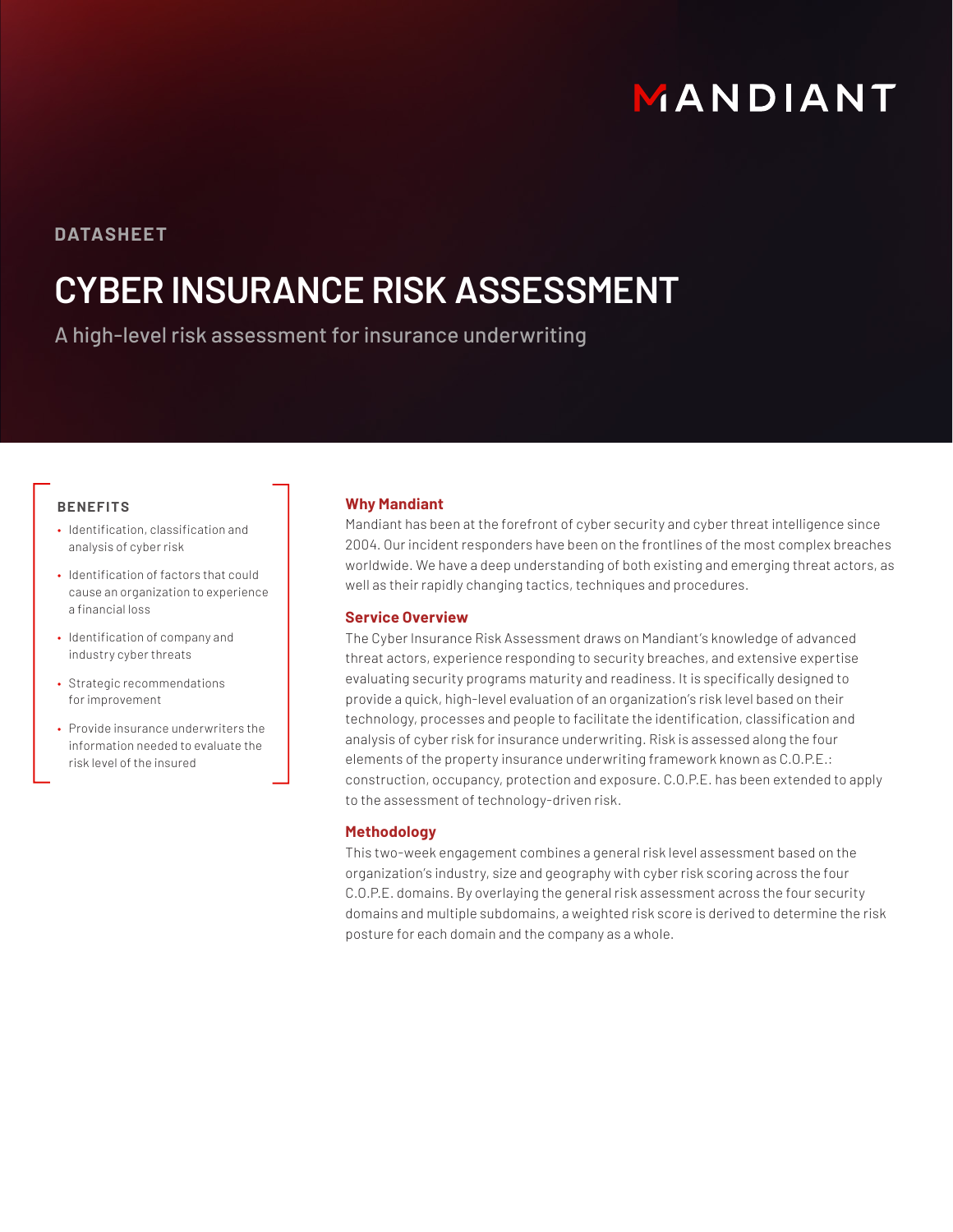# MANDIANT

### **DATASHEET**

## **CYBER INSURANCE RISK ASSESSMENT**

A high-level risk assessment for insurance underwriting

#### **BENEFITS**

- Identification, classification and analysis of cyber risk
- Identification of factors that could cause an organization to experience a financial loss
- Identification of company and industry cyber threats
- Strategic recommendations for improvement
- Provide insurance underwriters the information needed to evaluate the risk level of the insured

#### **Why Mandiant**

Mandiant has been at the forefront of cyber security and cyber threat intelligence since 2004. Our incident responders have been on the frontlines of the most complex breaches worldwide. We have a deep understanding of both existing and emerging threat actors, as well as their rapidly changing tactics, techniques and procedures.

#### **Service Overview**

The Cyber Insurance Risk Assessment draws on Mandiant's knowledge of advanced threat actors, experience responding to security breaches, and extensive expertise evaluating security programs maturity and readiness. It is specifically designed to provide a quick, high-level evaluation of an organization's risk level based on their technology, processes and people to facilitate the identification, classification and analysis of cyber risk for insurance underwriting. Risk is assessed along the four elements of the property insurance underwriting framework known as C.O.P.E.: construction, occupancy, protection and exposure. C.O.P.E. has been extended to apply to the assessment of technology-driven risk.

#### **Methodology**

This two-week engagement combines a general risk level assessment based on the organization's industry, size and geography with cyber risk scoring across the four C.O.P.E. domains. By overlaying the general risk assessment across the four security domains and multiple subdomains, a weighted risk score is derived to determine the risk posture for each domain and the company as a whole.